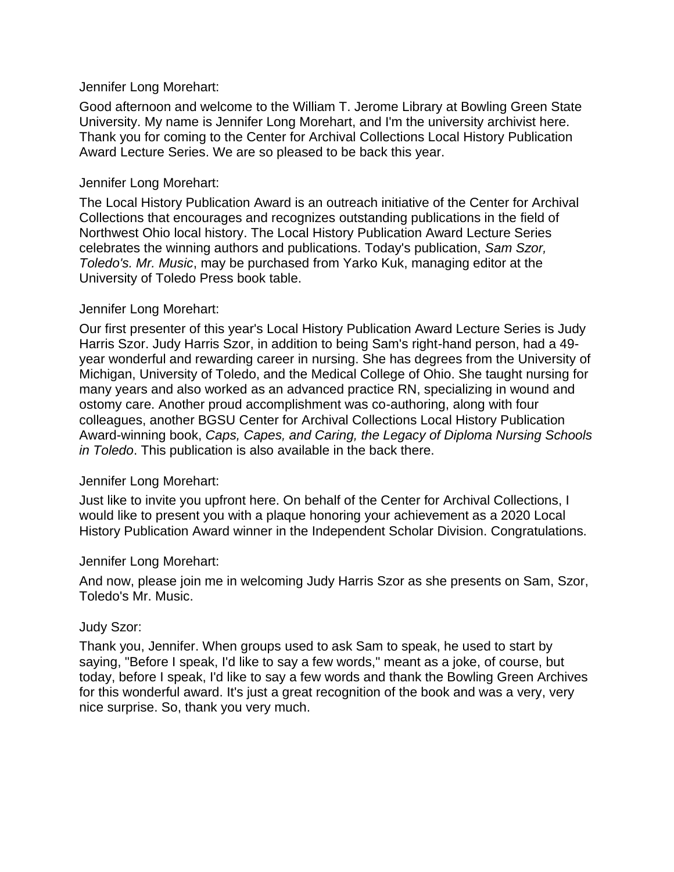### Jennifer Long Morehart:

Good afternoon and welcome to the William T. Jerome Library at Bowling Green State University. My name is Jennifer Long Morehart, and I'm the university archivist here. Thank you for coming to the Center for Archival Collections Local History Publication Award Lecture Series. We are so pleased to be back this year.

### Jennifer Long Morehart:

The Local History Publication Award is an outreach initiative of the Center for Archival Collections that encourages and recognizes outstanding publications in the field of Northwest Ohio local history. The Local History Publication Award Lecture Series celebrates the winning authors and publications. Today's publication, *Sam Szor, Toledo's. Mr. Music*, may be purchased from Yarko Kuk, managing editor at the University of Toledo Press book table.

### Jennifer Long Morehart:

Our first presenter of this year's Local History Publication Award Lecture Series is Judy Harris Szor. Judy Harris Szor, in addition to being Sam's right-hand person, had a 49 year wonderful and rewarding career in nursing. She has degrees from the University of Michigan, University of Toledo, and the Medical College of Ohio. She taught nursing for many years and also worked as an advanced practice RN, specializing in wound and ostomy care. Another proud accomplishment was co-authoring, along with four colleagues, another BGSU Center for Archival Collections Local History Publication Award-winning book, *Caps, Capes, and Caring, the Legacy of Diploma Nursing Schools in Toledo*. This publication is also available in the back there.

## Jennifer Long Morehart:

Just like to invite you upfront here. On behalf of the Center for Archival Collections, I would like to present you with a plaque honoring your achievement as a 2020 Local History Publication Award winner in the Independent Scholar Division. Congratulations.

## Jennifer Long Morehart:

And now, please join me in welcoming Judy Harris Szor as she presents on Sam, Szor, Toledo's Mr. Music.

#### Judy Szor:

Thank you, Jennifer. When groups used to ask Sam to speak, he used to start by saying, "Before I speak, I'd like to say a few words," meant as a joke, of course, but today, before I speak, I'd like to say a few words and thank the Bowling Green Archives for this wonderful award. It's just a great recognition of the book and was a very, very nice surprise. So, thank you very much.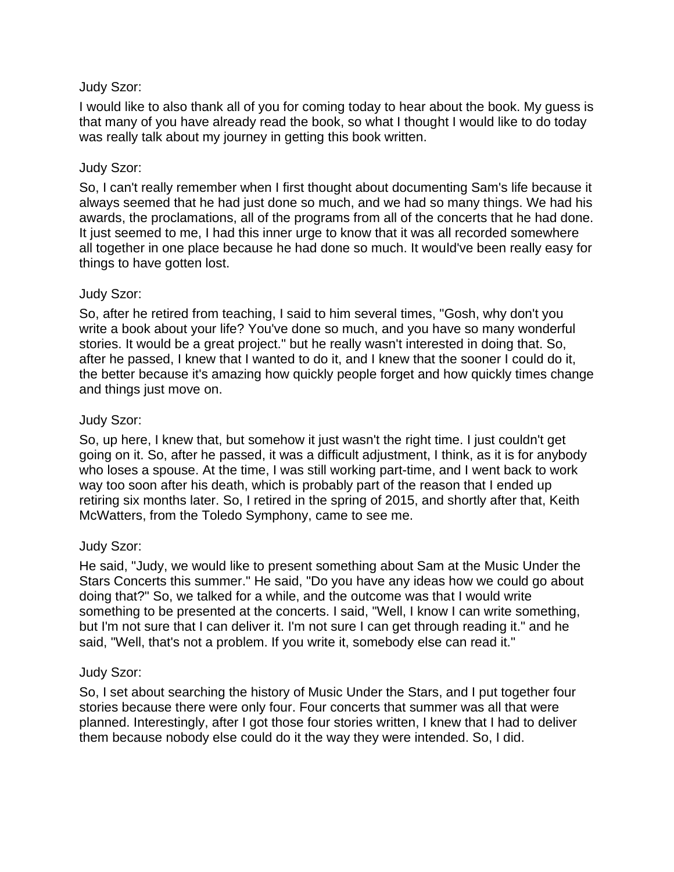I would like to also thank all of you for coming today to hear about the book. My guess is that many of you have already read the book, so what I thought I would like to do today was really talk about my journey in getting this book written.

## Judy Szor:

So, I can't really remember when I first thought about documenting Sam's life because it always seemed that he had just done so much, and we had so many things. We had his awards, the proclamations, all of the programs from all of the concerts that he had done. It just seemed to me, I had this inner urge to know that it was all recorded somewhere all together in one place because he had done so much. It would've been really easy for things to have gotten lost.

## Judy Szor:

So, after he retired from teaching, I said to him several times, "Gosh, why don't you write a book about your life? You've done so much, and you have so many wonderful stories. It would be a great project." but he really wasn't interested in doing that. So, after he passed, I knew that I wanted to do it, and I knew that the sooner I could do it, the better because it's amazing how quickly people forget and how quickly times change and things just move on.

## Judy Szor:

So, up here, I knew that, but somehow it just wasn't the right time. I just couldn't get going on it. So, after he passed, it was a difficult adjustment, I think, as it is for anybody who loses a spouse. At the time, I was still working part-time, and I went back to work way too soon after his death, which is probably part of the reason that I ended up retiring six months later. So, I retired in the spring of 2015, and shortly after that, Keith McWatters, from the Toledo Symphony, came to see me.

# Judy Szor:

He said, "Judy, we would like to present something about Sam at the Music Under the Stars Concerts this summer." He said, "Do you have any ideas how we could go about doing that?" So, we talked for a while, and the outcome was that I would write something to be presented at the concerts. I said, "Well, I know I can write something, but I'm not sure that I can deliver it. I'm not sure I can get through reading it." and he said, "Well, that's not a problem. If you write it, somebody else can read it."

## Judy Szor:

So, I set about searching the history of Music Under the Stars, and I put together four stories because there were only four. Four concerts that summer was all that were planned. Interestingly, after I got those four stories written, I knew that I had to deliver them because nobody else could do it the way they were intended. So, I did.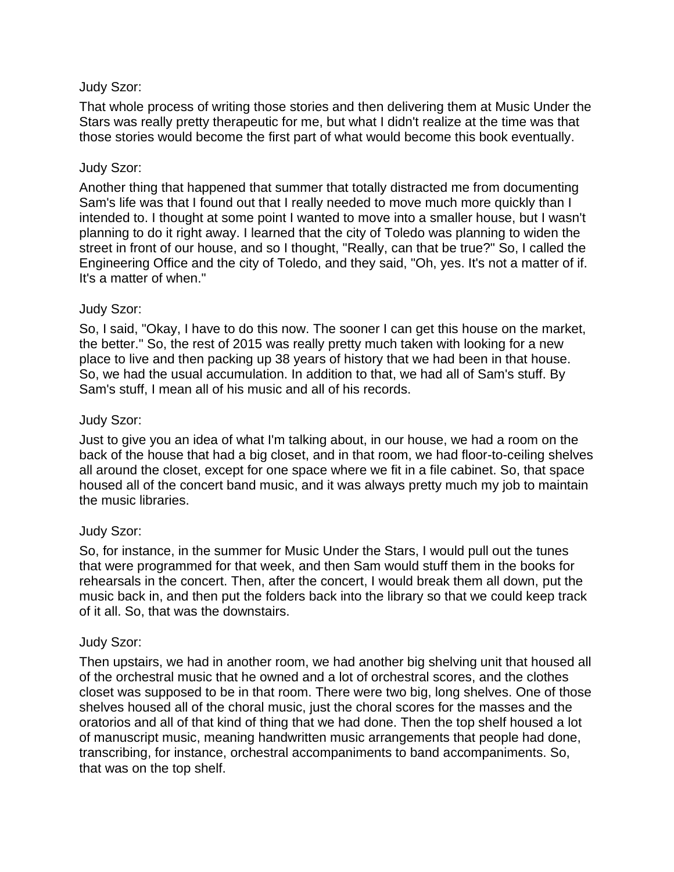That whole process of writing those stories and then delivering them at Music Under the Stars was really pretty therapeutic for me, but what I didn't realize at the time was that those stories would become the first part of what would become this book eventually.

### Judy Szor:

Another thing that happened that summer that totally distracted me from documenting Sam's life was that I found out that I really needed to move much more quickly than I intended to. I thought at some point I wanted to move into a smaller house, but I wasn't planning to do it right away. I learned that the city of Toledo was planning to widen the street in front of our house, and so I thought, "Really, can that be true?" So, I called the Engineering Office and the city of Toledo, and they said, "Oh, yes. It's not a matter of if. It's a matter of when."

### Judy Szor:

So, I said, "Okay, I have to do this now. The sooner I can get this house on the market, the better." So, the rest of 2015 was really pretty much taken with looking for a new place to live and then packing up 38 years of history that we had been in that house. So, we had the usual accumulation. In addition to that, we had all of Sam's stuff. By Sam's stuff, I mean all of his music and all of his records.

### Judy Szor:

Just to give you an idea of what I'm talking about, in our house, we had a room on the back of the house that had a big closet, and in that room, we had floor-to-ceiling shelves all around the closet, except for one space where we fit in a file cabinet. So, that space housed all of the concert band music, and it was always pretty much my job to maintain the music libraries.

## Judy Szor:

So, for instance, in the summer for Music Under the Stars, I would pull out the tunes that were programmed for that week, and then Sam would stuff them in the books for rehearsals in the concert. Then, after the concert, I would break them all down, put the music back in, and then put the folders back into the library so that we could keep track of it all. So, that was the downstairs.

#### Judy Szor:

Then upstairs, we had in another room, we had another big shelving unit that housed all of the orchestral music that he owned and a lot of orchestral scores, and the clothes closet was supposed to be in that room. There were two big, long shelves. One of those shelves housed all of the choral music, just the choral scores for the masses and the oratorios and all of that kind of thing that we had done. Then the top shelf housed a lot of manuscript music, meaning handwritten music arrangements that people had done, transcribing, for instance, orchestral accompaniments to band accompaniments. So, that was on the top shelf.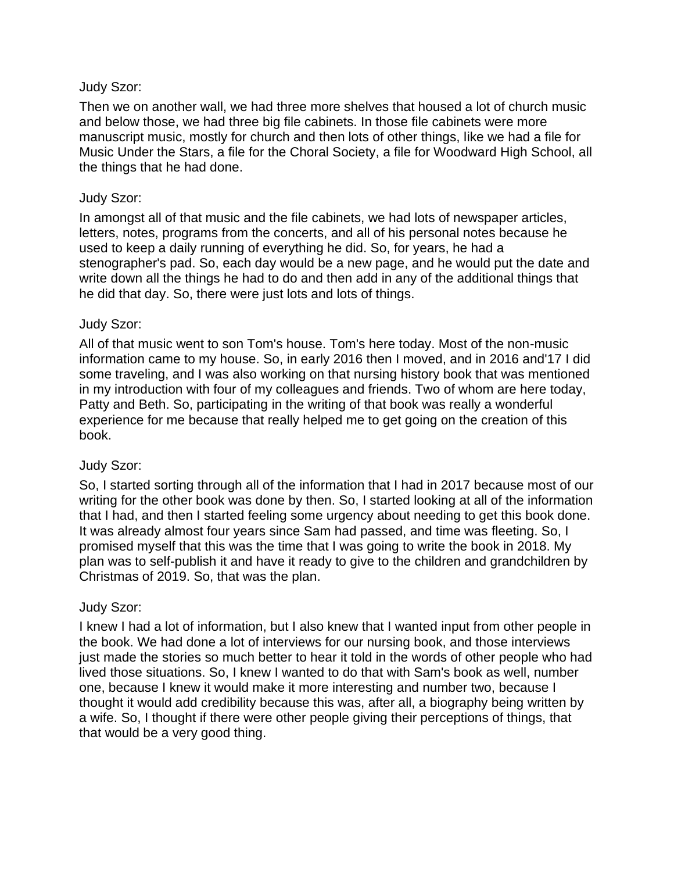Then we on another wall, we had three more shelves that housed a lot of church music and below those, we had three big file cabinets. In those file cabinets were more manuscript music, mostly for church and then lots of other things, like we had a file for Music Under the Stars, a file for the Choral Society, a file for Woodward High School, all the things that he had done.

### Judy Szor:

In amongst all of that music and the file cabinets, we had lots of newspaper articles, letters, notes, programs from the concerts, and all of his personal notes because he used to keep a daily running of everything he did. So, for years, he had a stenographer's pad. So, each day would be a new page, and he would put the date and write down all the things he had to do and then add in any of the additional things that he did that day. So, there were just lots and lots of things.

### Judy Szor:

All of that music went to son Tom's house. Tom's here today. Most of the non-music information came to my house. So, in early 2016 then I moved, and in 2016 and'17 I did some traveling, and I was also working on that nursing history book that was mentioned in my introduction with four of my colleagues and friends. Two of whom are here today, Patty and Beth. So, participating in the writing of that book was really a wonderful experience for me because that really helped me to get going on the creation of this book.

## Judy Szor:

So, I started sorting through all of the information that I had in 2017 because most of our writing for the other book was done by then. So, I started looking at all of the information that I had, and then I started feeling some urgency about needing to get this book done. It was already almost four years since Sam had passed, and time was fleeting. So, I promised myself that this was the time that I was going to write the book in 2018. My plan was to self-publish it and have it ready to give to the children and grandchildren by Christmas of 2019. So, that was the plan.

## Judy Szor:

I knew I had a lot of information, but I also knew that I wanted input from other people in the book. We had done a lot of interviews for our nursing book, and those interviews just made the stories so much better to hear it told in the words of other people who had lived those situations. So, I knew I wanted to do that with Sam's book as well, number one, because I knew it would make it more interesting and number two, because I thought it would add credibility because this was, after all, a biography being written by a wife. So, I thought if there were other people giving their perceptions of things, that that would be a very good thing.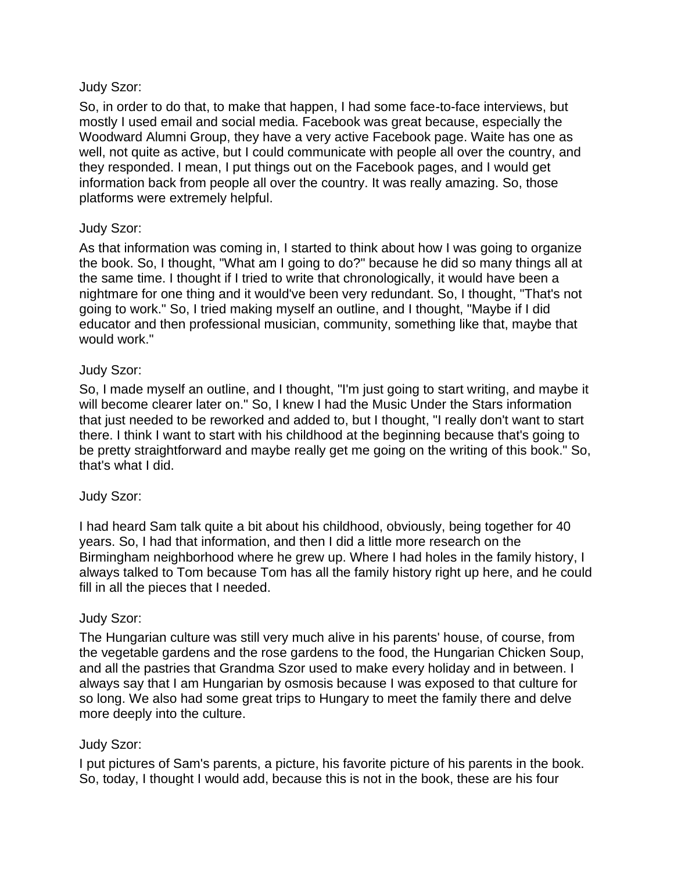So, in order to do that, to make that happen, I had some face-to-face interviews, but mostly I used email and social media. Facebook was great because, especially the Woodward Alumni Group, they have a very active Facebook page. Waite has one as well, not quite as active, but I could communicate with people all over the country, and they responded. I mean, I put things out on the Facebook pages, and I would get information back from people all over the country. It was really amazing. So, those platforms were extremely helpful.

## Judy Szor:

As that information was coming in, I started to think about how I was going to organize the book. So, I thought, "What am I going to do?" because he did so many things all at the same time. I thought if I tried to write that chronologically, it would have been a nightmare for one thing and it would've been very redundant. So, I thought, "That's not going to work." So, I tried making myself an outline, and I thought, "Maybe if I did educator and then professional musician, community, something like that, maybe that would work."

## Judy Szor:

So, I made myself an outline, and I thought, "I'm just going to start writing, and maybe it will become clearer later on." So, I knew I had the Music Under the Stars information that just needed to be reworked and added to, but I thought, "I really don't want to start there. I think I want to start with his childhood at the beginning because that's going to be pretty straightforward and maybe really get me going on the writing of this book." So, that's what I did.

## Judy Szor:

I had heard Sam talk quite a bit about his childhood, obviously, being together for 40 years. So, I had that information, and then I did a little more research on the Birmingham neighborhood where he grew up. Where I had holes in the family history, I always talked to Tom because Tom has all the family history right up here, and he could fill in all the pieces that I needed.

## Judy Szor:

The Hungarian culture was still very much alive in his parents' house, of course, from the vegetable gardens and the rose gardens to the food, the Hungarian Chicken Soup, and all the pastries that Grandma Szor used to make every holiday and in between. I always say that I am Hungarian by osmosis because I was exposed to that culture for so long. We also had some great trips to Hungary to meet the family there and delve more deeply into the culture.

## Judy Szor:

I put pictures of Sam's parents, a picture, his favorite picture of his parents in the book. So, today, I thought I would add, because this is not in the book, these are his four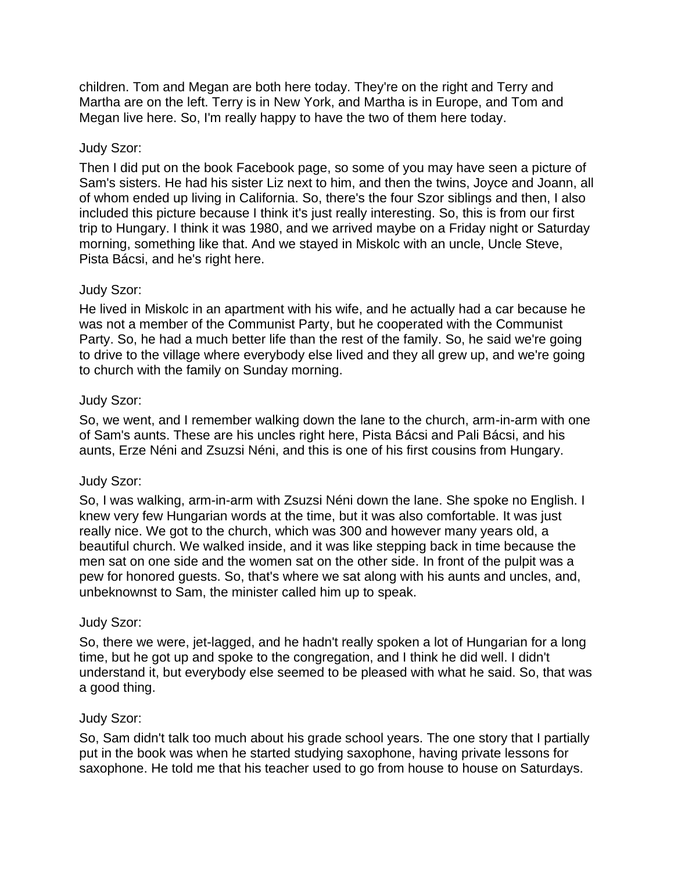children. Tom and Megan are both here today. They're on the right and Terry and Martha are on the left. Terry is in New York, and Martha is in Europe, and Tom and Megan live here. So, I'm really happy to have the two of them here today.

## Judy Szor:

Then I did put on the book Facebook page, so some of you may have seen a picture of Sam's sisters. He had his sister Liz next to him, and then the twins, Joyce and Joann, all of whom ended up living in California. So, there's the four Szor siblings and then, I also included this picture because I think it's just really interesting. So, this is from our first trip to Hungary. I think it was 1980, and we arrived maybe on a Friday night or Saturday morning, something like that. And we stayed in Miskolc with an uncle, Uncle Steve, Pista Bácsi, and he's right here.

## Judy Szor:

He lived in Miskolc in an apartment with his wife, and he actually had a car because he was not a member of the Communist Party, but he cooperated with the Communist Party. So, he had a much better life than the rest of the family. So, he said we're going to drive to the village where everybody else lived and they all grew up, and we're going to church with the family on Sunday morning.

## Judy Szor:

So, we went, and I remember walking down the lane to the church, arm-in-arm with one of Sam's aunts. These are his uncles right here, Pista Bácsi and Pali Bácsi, and his aunts, Erze Néni and Zsuzsi Néni, and this is one of his first cousins from Hungary.

## Judy Szor:

So, I was walking, arm-in-arm with Zsuzsi Néni down the lane. She spoke no English. I knew very few Hungarian words at the time, but it was also comfortable. It was just really nice. We got to the church, which was 300 and however many years old, a beautiful church. We walked inside, and it was like stepping back in time because the men sat on one side and the women sat on the other side. In front of the pulpit was a pew for honored guests. So, that's where we sat along with his aunts and uncles, and, unbeknownst to Sam, the minister called him up to speak.

## Judy Szor:

So, there we were, jet-lagged, and he hadn't really spoken a lot of Hungarian for a long time, but he got up and spoke to the congregation, and I think he did well. I didn't understand it, but everybody else seemed to be pleased with what he said. So, that was a good thing.

## Judy Szor:

So, Sam didn't talk too much about his grade school years. The one story that I partially put in the book was when he started studying saxophone, having private lessons for saxophone. He told me that his teacher used to go from house to house on Saturdays.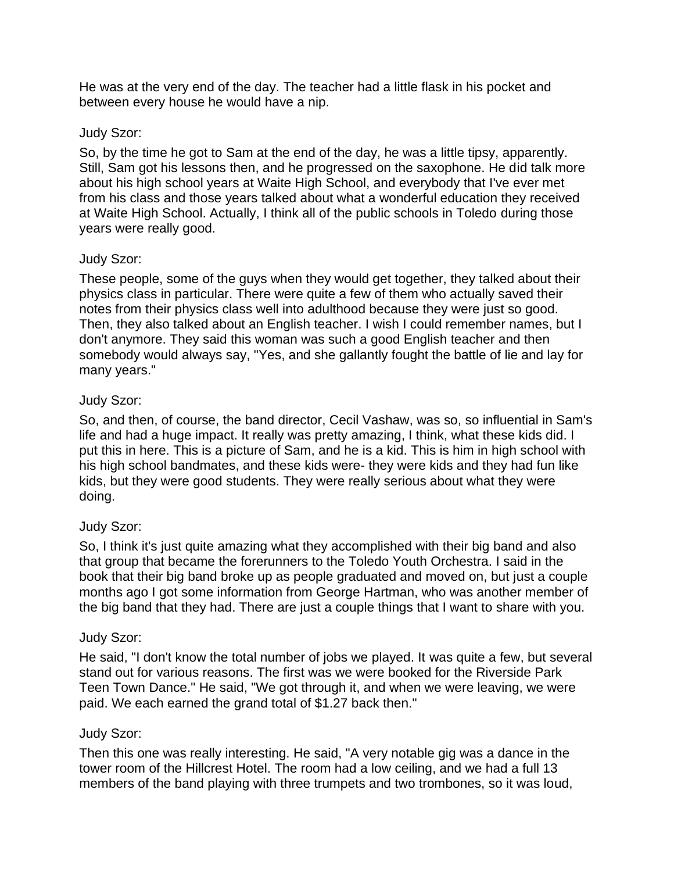He was at the very end of the day. The teacher had a little flask in his pocket and between every house he would have a nip.

## Judy Szor:

So, by the time he got to Sam at the end of the day, he was a little tipsy, apparently. Still, Sam got his lessons then, and he progressed on the saxophone. He did talk more about his high school years at Waite High School, and everybody that I've ever met from his class and those years talked about what a wonderful education they received at Waite High School. Actually, I think all of the public schools in Toledo during those years were really good.

## Judy Szor:

These people, some of the guys when they would get together, they talked about their physics class in particular. There were quite a few of them who actually saved their notes from their physics class well into adulthood because they were just so good. Then, they also talked about an English teacher. I wish I could remember names, but I don't anymore. They said this woman was such a good English teacher and then somebody would always say, "Yes, and she gallantly fought the battle of lie and lay for many years."

## Judy Szor:

So, and then, of course, the band director, Cecil Vashaw, was so, so influential in Sam's life and had a huge impact. It really was pretty amazing, I think, what these kids did. I put this in here. This is a picture of Sam, and he is a kid. This is him in high school with his high school bandmates, and these kids were- they were kids and they had fun like kids, but they were good students. They were really serious about what they were doing.

# Judy Szor:

So, I think it's just quite amazing what they accomplished with their big band and also that group that became the forerunners to the Toledo Youth Orchestra. I said in the book that their big band broke up as people graduated and moved on, but just a couple months ago I got some information from George Hartman, who was another member of the big band that they had. There are just a couple things that I want to share with you.

# Judy Szor:

He said, "I don't know the total number of jobs we played. It was quite a few, but several stand out for various reasons. The first was we were booked for the Riverside Park Teen Town Dance." He said, "We got through it, and when we were leaving, we were paid. We each earned the grand total of \$1.27 back then."

## Judy Szor:

Then this one was really interesting. He said, "A very notable gig was a dance in the tower room of the Hillcrest Hotel. The room had a low ceiling, and we had a full 13 members of the band playing with three trumpets and two trombones, so it was loud,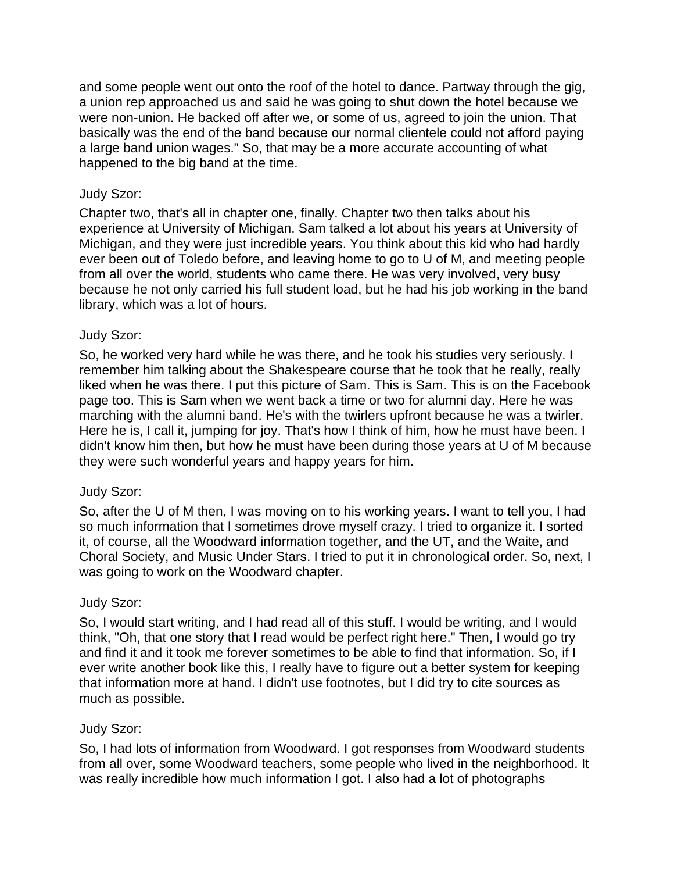and some people went out onto the roof of the hotel to dance. Partway through the gig, a union rep approached us and said he was going to shut down the hotel because we were non-union. He backed off after we, or some of us, agreed to join the union. That basically was the end of the band because our normal clientele could not afford paying a large band union wages." So, that may be a more accurate accounting of what happened to the big band at the time.

## Judy Szor:

Chapter two, that's all in chapter one, finally. Chapter two then talks about his experience at University of Michigan. Sam talked a lot about his years at University of Michigan, and they were just incredible years. You think about this kid who had hardly ever been out of Toledo before, and leaving home to go to U of M, and meeting people from all over the world, students who came there. He was very involved, very busy because he not only carried his full student load, but he had his job working in the band library, which was a lot of hours.

## Judy Szor:

So, he worked very hard while he was there, and he took his studies very seriously. I remember him talking about the Shakespeare course that he took that he really, really liked when he was there. I put this picture of Sam. This is Sam. This is on the Facebook page too. This is Sam when we went back a time or two for alumni day. Here he was marching with the alumni band. He's with the twirlers upfront because he was a twirler. Here he is, I call it, jumping for joy. That's how I think of him, how he must have been. I didn't know him then, but how he must have been during those years at U of M because they were such wonderful years and happy years for him.

## Judy Szor:

So, after the U of M then, I was moving on to his working years. I want to tell you, I had so much information that I sometimes drove myself crazy. I tried to organize it. I sorted it, of course, all the Woodward information together, and the UT, and the Waite, and Choral Society, and Music Under Stars. I tried to put it in chronological order. So, next, I was going to work on the Woodward chapter.

## Judy Szor:

So, I would start writing, and I had read all of this stuff. I would be writing, and I would think, "Oh, that one story that I read would be perfect right here." Then, I would go try and find it and it took me forever sometimes to be able to find that information. So, if I ever write another book like this, I really have to figure out a better system for keeping that information more at hand. I didn't use footnotes, but I did try to cite sources as much as possible.

## Judy Szor:

So, I had lots of information from Woodward. I got responses from Woodward students from all over, some Woodward teachers, some people who lived in the neighborhood. It was really incredible how much information I got. I also had a lot of photographs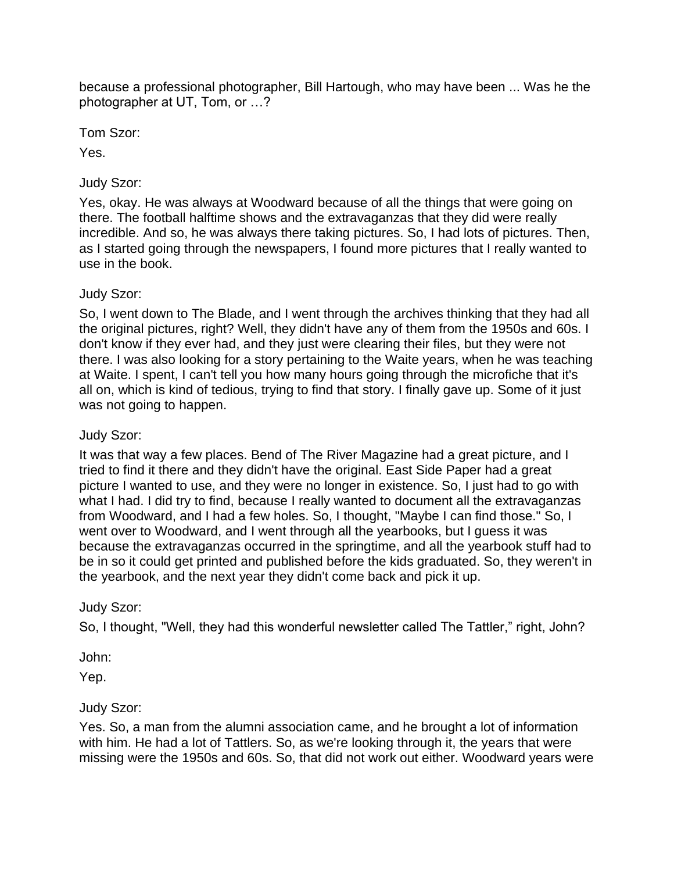because a professional photographer, Bill Hartough, who may have been ... Was he the photographer at UT, Tom, or …?

Tom Szor:

Yes.

# Judy Szor:

Yes, okay. He was always at Woodward because of all the things that were going on there. The football halftime shows and the extravaganzas that they did were really incredible. And so, he was always there taking pictures. So, I had lots of pictures. Then, as I started going through the newspapers, I found more pictures that I really wanted to use in the book.

# Judy Szor:

So, I went down to The Blade, and I went through the archives thinking that they had all the original pictures, right? Well, they didn't have any of them from the 1950s and 60s. I don't know if they ever had, and they just were clearing their files, but they were not there. I was also looking for a story pertaining to the Waite years, when he was teaching at Waite. I spent, I can't tell you how many hours going through the microfiche that it's all on, which is kind of tedious, trying to find that story. I finally gave up. Some of it just was not going to happen.

# Judy Szor:

It was that way a few places. Bend of The River Magazine had a great picture, and I tried to find it there and they didn't have the original. East Side Paper had a great picture I wanted to use, and they were no longer in existence. So, I just had to go with what I had. I did try to find, because I really wanted to document all the extravaganzas from Woodward, and I had a few holes. So, I thought, "Maybe I can find those." So, I went over to Woodward, and I went through all the yearbooks, but I guess it was because the extravaganzas occurred in the springtime, and all the yearbook stuff had to be in so it could get printed and published before the kids graduated. So, they weren't in the yearbook, and the next year they didn't come back and pick it up.

# Judy Szor:

So, I thought, "Well, they had this wonderful newsletter called The Tattler," right, John?

John:

Yep.

# Judy Szor:

Yes. So, a man from the alumni association came, and he brought a lot of information with him. He had a lot of Tattlers. So, as we're looking through it, the years that were missing were the 1950s and 60s. So, that did not work out either. Woodward years were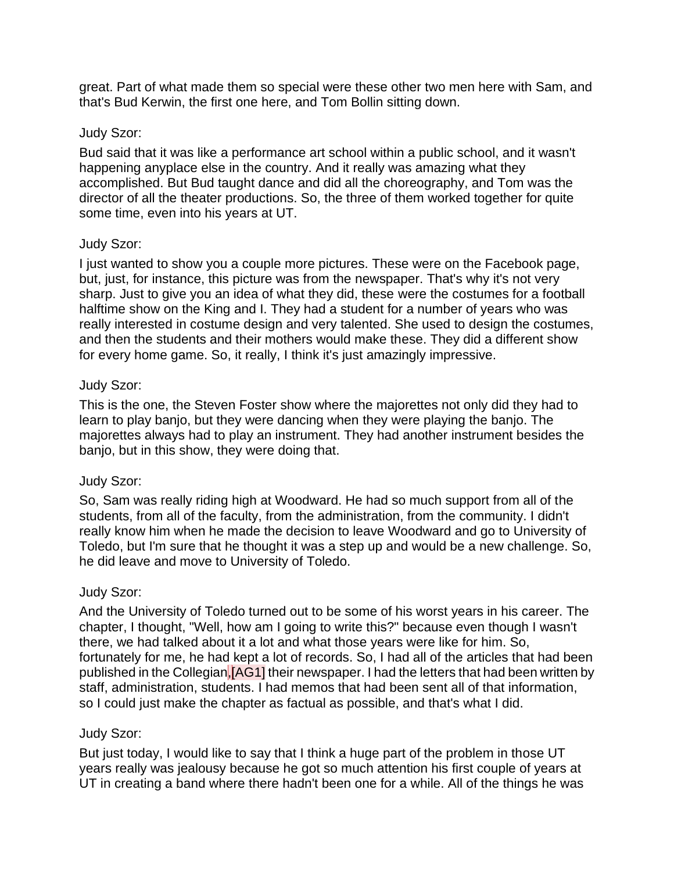great. Part of what made them so special were these other two men here with Sam, and that's Bud Kerwin, the first one here, and Tom Bollin sitting down.

### Judy Szor:

Bud said that it was like a performance art school within a public school, and it wasn't happening anyplace else in the country. And it really was amazing what they accomplished. But Bud taught dance and did all the choreography, and Tom was the director of all the theater productions. So, the three of them worked together for quite some time, even into his years at UT.

### Judy Szor:

I just wanted to show you a couple more pictures. These were on the Facebook page, but, just, for instance, this picture was from the newspaper. That's why it's not very sharp. Just to give you an idea of what they did, these were the costumes for a football halftime show on the King and I. They had a student for a number of years who was really interested in costume design and very talented. She used to design the costumes, and then the students and their mothers would make these. They did a different show for every home game. So, it really, I think it's just amazingly impressive.

### Judy Szor:

This is the one, the Steven Foster show where the majorettes not only did they had to learn to play banjo, but they were dancing when they were playing the banjo. The majorettes always had to play an instrument. They had another instrument besides the banjo, but in this show, they were doing that.

## Judy Szor:

So, Sam was really riding high at Woodward. He had so much support from all of the students, from all of the faculty, from the administration, from the community. I didn't really know him when he made the decision to leave Woodward and go to University of Toledo, but I'm sure that he thought it was a step up and would be a new challenge. So, he did leave and move to University of Toledo.

## Judy Szor:

And the University of Toledo turned out to be some of his worst years in his career. The chapter, I thought, "Well, how am I going to write this?" because even though I wasn't there, we had talked about it a lot and what those years were like for him. So, fortunately for me, he had kept a lot of records. So, I had all of the articles that had been published in the Collegian,[AG1] their newspaper. I had the letters that had been written by staff, administration, students. I had memos that had been sent all of that information, so I could just make the chapter as factual as possible, and that's what I did.

## Judy Szor:

But just today, I would like to say that I think a huge part of the problem in those UT years really was jealousy because he got so much attention his first couple of years at UT in creating a band where there hadn't been one for a while. All of the things he was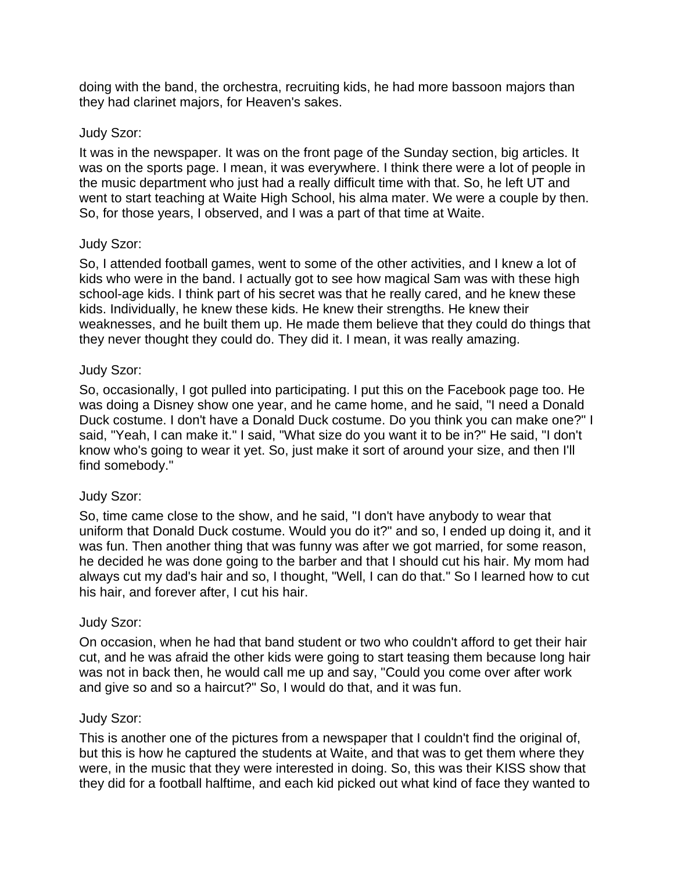doing with the band, the orchestra, recruiting kids, he had more bassoon majors than they had clarinet majors, for Heaven's sakes.

### Judy Szor:

It was in the newspaper. It was on the front page of the Sunday section, big articles. It was on the sports page. I mean, it was everywhere. I think there were a lot of people in the music department who just had a really difficult time with that. So, he left UT and went to start teaching at Waite High School, his alma mater. We were a couple by then. So, for those years, I observed, and I was a part of that time at Waite.

### Judy Szor:

So, I attended football games, went to some of the other activities, and I knew a lot of kids who were in the band. I actually got to see how magical Sam was with these high school-age kids. I think part of his secret was that he really cared, and he knew these kids. Individually, he knew these kids. He knew their strengths. He knew their weaknesses, and he built them up. He made them believe that they could do things that they never thought they could do. They did it. I mean, it was really amazing.

### Judy Szor:

So, occasionally, I got pulled into participating. I put this on the Facebook page too. He was doing a Disney show one year, and he came home, and he said, "I need a Donald Duck costume. I don't have a Donald Duck costume. Do you think you can make one?" I said, "Yeah, I can make it." I said, "What size do you want it to be in?" He said, "I don't know who's going to wear it yet. So, just make it sort of around your size, and then I'll find somebody."

## Judy Szor:

So, time came close to the show, and he said, "I don't have anybody to wear that uniform that Donald Duck costume. Would you do it?" and so, I ended up doing it, and it was fun. Then another thing that was funny was after we got married, for some reason, he decided he was done going to the barber and that I should cut his hair. My mom had always cut my dad's hair and so, I thought, "Well, I can do that." So I learned how to cut his hair, and forever after, I cut his hair.

#### Judy Szor:

On occasion, when he had that band student or two who couldn't afford to get their hair cut, and he was afraid the other kids were going to start teasing them because long hair was not in back then, he would call me up and say, "Could you come over after work and give so and so a haircut?" So, I would do that, and it was fun.

#### Judy Szor:

This is another one of the pictures from a newspaper that I couldn't find the original of, but this is how he captured the students at Waite, and that was to get them where they were, in the music that they were interested in doing. So, this was their KISS show that they did for a football halftime, and each kid picked out what kind of face they wanted to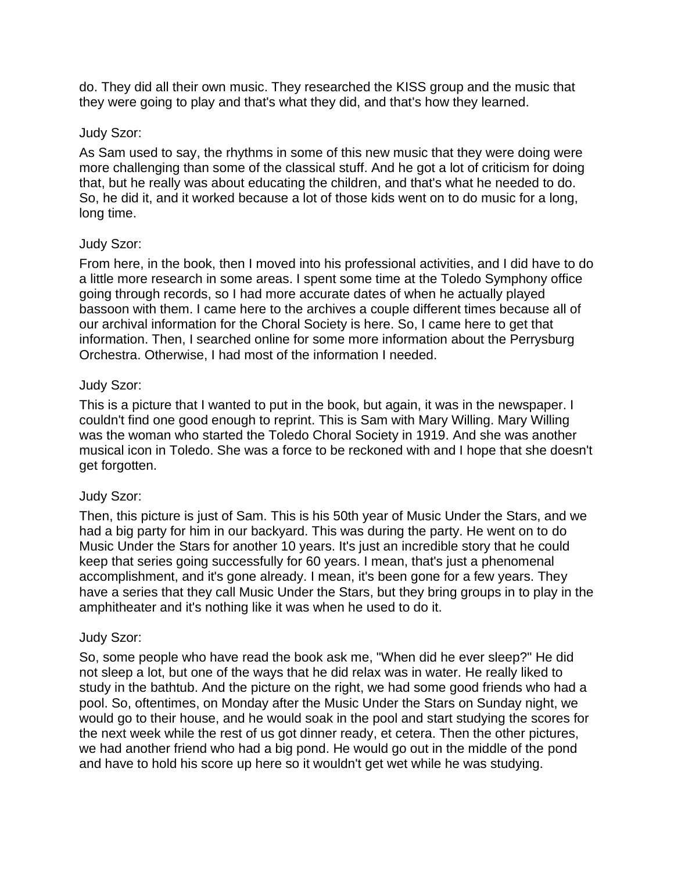do. They did all their own music. They researched the KISS group and the music that they were going to play and that's what they did, and that's how they learned.

## Judy Szor:

As Sam used to say, the rhythms in some of this new music that they were doing were more challenging than some of the classical stuff. And he got a lot of criticism for doing that, but he really was about educating the children, and that's what he needed to do. So, he did it, and it worked because a lot of those kids went on to do music for a long, long time.

### Judy Szor:

From here, in the book, then I moved into his professional activities, and I did have to do a little more research in some areas. I spent some time at the Toledo Symphony office going through records, so I had more accurate dates of when he actually played bassoon with them. I came here to the archives a couple different times because all of our archival information for the Choral Society is here. So, I came here to get that information. Then, I searched online for some more information about the Perrysburg Orchestra. Otherwise, I had most of the information I needed.

### Judy Szor:

This is a picture that I wanted to put in the book, but again, it was in the newspaper. I couldn't find one good enough to reprint. This is Sam with Mary Willing. Mary Willing was the woman who started the Toledo Choral Society in 1919. And she was another musical icon in Toledo. She was a force to be reckoned with and I hope that she doesn't get forgotten.

## Judy Szor:

Then, this picture is just of Sam. This is his 50th year of Music Under the Stars, and we had a big party for him in our backyard. This was during the party. He went on to do Music Under the Stars for another 10 years. It's just an incredible story that he could keep that series going successfully for 60 years. I mean, that's just a phenomenal accomplishment, and it's gone already. I mean, it's been gone for a few years. They have a series that they call Music Under the Stars, but they bring groups in to play in the amphitheater and it's nothing like it was when he used to do it.

#### Judy Szor:

So, some people who have read the book ask me, "When did he ever sleep?" He did not sleep a lot, but one of the ways that he did relax was in water. He really liked to study in the bathtub. And the picture on the right, we had some good friends who had a pool. So, oftentimes, on Monday after the Music Under the Stars on Sunday night, we would go to their house, and he would soak in the pool and start studying the scores for the next week while the rest of us got dinner ready, et cetera. Then the other pictures, we had another friend who had a big pond. He would go out in the middle of the pond and have to hold his score up here so it wouldn't get wet while he was studying.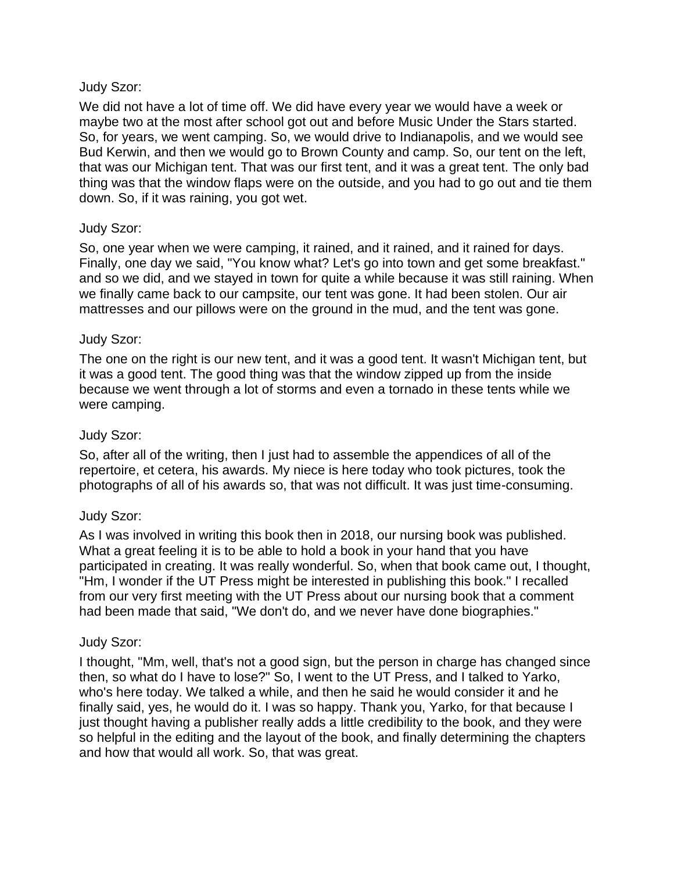We did not have a lot of time off. We did have every year we would have a week or maybe two at the most after school got out and before Music Under the Stars started. So, for years, we went camping. So, we would drive to Indianapolis, and we would see Bud Kerwin, and then we would go to Brown County and camp. So, our tent on the left, that was our Michigan tent. That was our first tent, and it was a great tent. The only bad thing was that the window flaps were on the outside, and you had to go out and tie them down. So, if it was raining, you got wet.

### Judy Szor:

So, one year when we were camping, it rained, and it rained, and it rained for days. Finally, one day we said, "You know what? Let's go into town and get some breakfast." and so we did, and we stayed in town for quite a while because it was still raining. When we finally came back to our campsite, our tent was gone. It had been stolen. Our air mattresses and our pillows were on the ground in the mud, and the tent was gone.

### Judy Szor:

The one on the right is our new tent, and it was a good tent. It wasn't Michigan tent, but it was a good tent. The good thing was that the window zipped up from the inside because we went through a lot of storms and even a tornado in these tents while we were camping.

#### Judy Szor:

So, after all of the writing, then I just had to assemble the appendices of all of the repertoire, et cetera, his awards. My niece is here today who took pictures, took the photographs of all of his awards so, that was not difficult. It was just time-consuming.

#### Judy Szor:

As I was involved in writing this book then in 2018, our nursing book was published. What a great feeling it is to be able to hold a book in your hand that you have participated in creating. It was really wonderful. So, when that book came out, I thought, "Hm, I wonder if the UT Press might be interested in publishing this book." I recalled from our very first meeting with the UT Press about our nursing book that a comment had been made that said, "We don't do, and we never have done biographies."

#### Judy Szor:

I thought, "Mm, well, that's not a good sign, but the person in charge has changed since then, so what do I have to lose?" So, I went to the UT Press, and I talked to Yarko, who's here today. We talked a while, and then he said he would consider it and he finally said, yes, he would do it. I was so happy. Thank you, Yarko, for that because I just thought having a publisher really adds a little credibility to the book, and they were so helpful in the editing and the layout of the book, and finally determining the chapters and how that would all work. So, that was great.